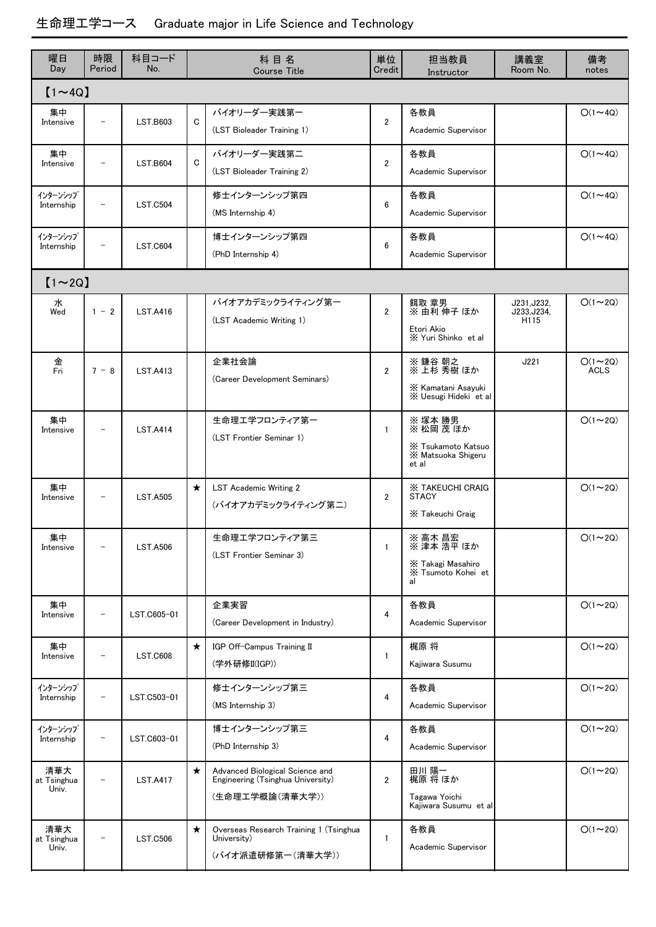| 曜日<br>Day                   | 時限<br>Period             | 科目コード<br>No.    | 科目名<br><b>Course Title</b> |                                                                                         | 単位<br>Credit   | 担当教員<br>Instructor                                                        | 講義室<br>Room No.                    | 備考<br>notes            |  |  |  |
|-----------------------------|--------------------------|-----------------|----------------------------|-----------------------------------------------------------------------------------------|----------------|---------------------------------------------------------------------------|------------------------------------|------------------------|--|--|--|
| $[1 \sim 4Q]$               |                          |                 |                            |                                                                                         |                |                                                                           |                                    |                        |  |  |  |
| 集中<br>Intensive             |                          | <b>LST.B603</b> | C                          | バイオリーダー実践第一<br>(LST Bioleader Training 1)                                               | $\overline{2}$ | 各教員<br>Academic Supervisor                                                |                                    | $O(1 \sim 4Q)$         |  |  |  |
| 集中<br>Intensive             |                          | <b>LST.B604</b> | C                          | バイオリーダー実践第二<br>(LST Bioleader Training 2)                                               | $\overline{2}$ | 各教員<br>Academic Supervisor                                                |                                    | $O(1 \sim 4Q)$         |  |  |  |
| インターンシップ<br>Internship      | $\overline{\phantom{m}}$ | <b>LST.C504</b> |                            | 修士インターンシップ第四<br>(MS Internship 4)                                                       | 6              | 各教員<br>Academic Supervisor                                                |                                    | $O(1 \sim 4Q)$         |  |  |  |
| インターンシップ<br>Internship      | $\qquad \qquad$          | <b>LST.C604</b> |                            | 博士インターンシップ第四<br>(PhD Internship 4)                                                      | 6              | 各教員<br>Academic Supervisor                                                |                                    | $O(1 \sim 4Q)$         |  |  |  |
| $[1 \sim 2Q]$               |                          |                 |                            |                                                                                         |                |                                                                           |                                    |                        |  |  |  |
| 水<br>Wed                    | $1 - 2$                  | <b>LST.A416</b> |                            | バイオアカデミックライティング第一<br>(LST Academic Writing 1)                                           | $\overline{2}$ | 餌取 章男<br>※ 由利 伸子 ほか<br>Etori Akio<br>X Yuri Shinko et al                  | J231, J232,<br>J233, J234,<br>H115 | $O(1\sim 2Q)$          |  |  |  |
| 金<br>Fri                    | $7 - 8$                  | <b>LST.A413</b> |                            | 企業社会論<br>(Career Development Seminars)                                                  | $\overline{2}$ | ※ 鎌谷 朝之<br>※ 上杉 秀樹 ほか<br>X Kamatani Asayuki<br>X Uesugi Hideki et al      | J221                               | $O(1 \sim 2Q)$<br>ACLS |  |  |  |
| 集中<br>Intensive             | $\qquad \qquad -$        | <b>LST.A414</b> |                            | 生命理エ学フロンティア第一<br>(LST Frontier Seminar 1)                                               | $\mathbf{1}$   | ※ 塚本 勝男<br>※ 松岡 茂 ほか<br>X Tsukamoto Katsuo<br>X Matsuoka Shigeru<br>et al |                                    | $O(1\sim 2Q)$          |  |  |  |
| 集中<br>Intensive             | $\qquad \qquad$          | <b>LST.A505</b> | $\star$                    | <b>LST Academic Writing 2</b><br>(バイオアカデミックライティング第二)                                    | $\overline{2}$ | <b>X TAKEUCHI CRAIG</b><br><b>STACY</b><br>X Takeuchi Craig               |                                    | $O(1\sim 2Q)$          |  |  |  |
| 果甲<br>Intensive             | -                        | <b>LST.A506</b> |                            | 生命理エ学フロンティア第三<br>(LST Frontier Seminar 3)                                               | $\mathbf{1}$   | ※ 高木 昌宏<br>※ 津本 浩平 ほか<br>X Takagi Masahiro<br>X Tsumoto Kohei et<br>al    |                                    | $O(1 \sim 2Q)$         |  |  |  |
| 集中<br>Intensive             | $\overline{\phantom{a}}$ | LST.C605-01     |                            | 企業実習<br>(Career Development in Industry)                                                | 4              | 各教員<br>Academic Supervisor                                                |                                    | $O(1\sim 2Q)$          |  |  |  |
| 集中<br>Intensive             | -                        | <b>LST.C608</b> | $\star$                    | IGP Off-Campus Training II<br>(学外研修II(IGP))                                             | $\mathbf{1}$   | 梶原 将<br>Kajiwara Susumu                                                   |                                    | $O(1\sim 2Q)$          |  |  |  |
| インターンシップ<br>Internship      | $\qquad \qquad -$        | LST.C503-01     |                            | 修士インターンシップ第三<br>(MS Internship 3)                                                       | 4              | 各教員<br>Academic Supervisor                                                |                                    | $O(1\sim 2Q)$          |  |  |  |
| インターンシップ<br>Internship      | $\qquad \qquad -$        | LST.C603-01     |                            | 博士インターンシップ第三<br>(PhD Internship 3)                                                      | 4              | 各教員<br>Academic Supervisor                                                |                                    | $O(1\sim 2Q)$          |  |  |  |
| 清華大<br>at Tsinghua<br>Univ. | $\qquad \qquad -$        | <b>LST.A417</b> | $\star$                    | Advanced Biological Science and<br>Engineering (Tsinghua University)<br>(生命理工学概論(清華大学)) | $\overline{2}$ | 田川 陽一<br>梶原 将 ほか<br>Tagawa Yoichi<br>Kajiwara Susumu et al                |                                    | $O(1\sim 2Q)$          |  |  |  |
| 清華大<br>at Tsinghua<br>Univ. | $\qquad \qquad -$        | <b>LST.C506</b> | $\star$                    | Overseas Research Training 1 (Tsinghua<br>University)<br>(バイオ派遣研修第一(清華大学))              | 1              | 各教員<br>Academic Supervisor                                                |                                    | $O(1\sim 2Q)$          |  |  |  |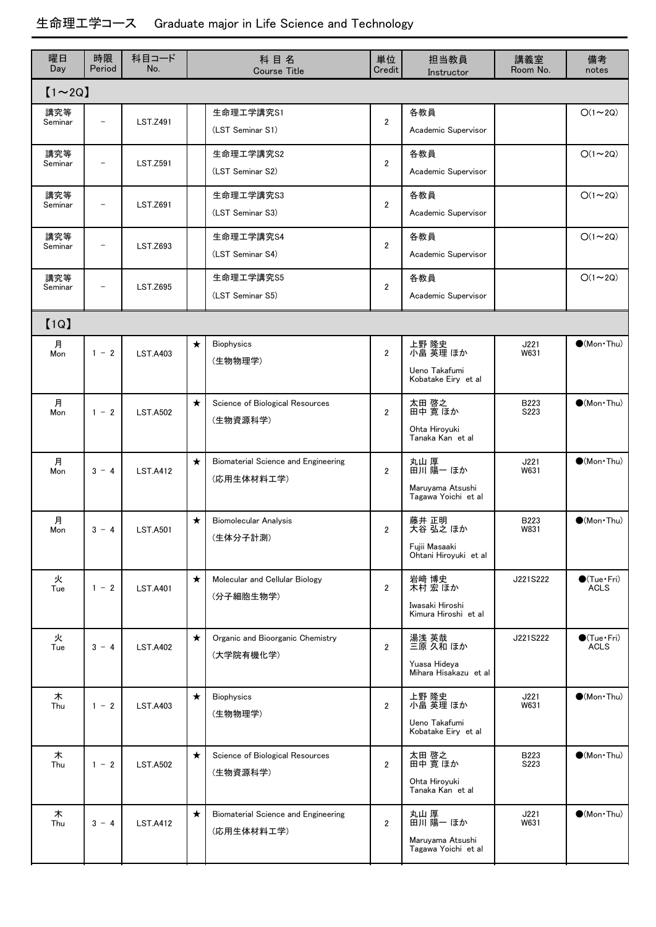| 曜日<br>Day      | 時限<br>Period             | 科目コード<br>No.    |         | 科目名<br><b>Course Title</b>                        | 単位<br>Credit   | 担当教員<br>Instructor                                          | 講義室<br>Room No. | 備考<br>notes                                |  |  |
|----------------|--------------------------|-----------------|---------|---------------------------------------------------|----------------|-------------------------------------------------------------|-----------------|--------------------------------------------|--|--|
| $[1 \sim 2Q]$  |                          |                 |         |                                                   |                |                                                             |                 |                                            |  |  |
| 講究等<br>Seminar | $\overline{\phantom{0}}$ | <b>LST.Z491</b> |         | 生命理工学講究S1<br>(LST Seminar S1)                     | $\overline{2}$ | 各教員<br>Academic Supervisor                                  |                 | $O(1\sim 2Q)$                              |  |  |
| 講究等<br>Seminar | -                        | <b>LST.Z591</b> |         | 生命理工学講究S2<br>(LST Seminar S2)                     | $\overline{2}$ | 各教員<br>Academic Supervisor                                  |                 | $O(1\sim 2Q)$                              |  |  |
| 講究等<br>Seminar | $\qquad \qquad -$        | <b>LST.Z691</b> |         | 生命理工学講究S3<br>(LST Seminar S3)                     | $\overline{2}$ | 各教員<br>Academic Supervisor                                  |                 | $O(1\sim 2Q)$                              |  |  |
| 講究等<br>Seminar | $\qquad \qquad -$        | <b>LST.Z693</b> |         | 生命理工学講究S4<br>(LST Seminar S4)                     | $\overline{2}$ | 各教員<br>Academic Supervisor                                  |                 | $O(1\sim 2Q)$                              |  |  |
| 講究等<br>Seminar | $\qquad \qquad -$        | <b>LST.Z695</b> |         | 生命理工学講究S5<br>(LST Seminar S5)                     | $\overline{2}$ | 各教員<br>Academic Supervisor                                  |                 | $O(1\sim 2Q)$                              |  |  |
| [1Q]           |                          |                 |         |                                                   |                |                                                             |                 |                                            |  |  |
| 月<br>Mon       | $1 - 2$                  | <b>LST.A403</b> | $\star$ | <b>Biophysics</b><br>(生物物理学)                      | $\overline{2}$ | 上野 隆史<br>小畠 英理 ほか<br>Ueno Takafumi<br>Kobatake Eiry et al   | J221<br>W631    | $\bullet$ (Mon $\cdot$ Thu)                |  |  |
| 月<br>Mon       | $1 - 2$                  | <b>LST.A502</b> | $\star$ | Science of Biological Resources<br>(生物資源科学)       | $\overline{2}$ | 太田 啓之<br>田中 寛 ほか<br>Ohta Hiroyuki<br>Tanaka Kanetal         | B223<br>S223    | $\bullet$ (Mon $\cdot$ Thu)                |  |  |
| 月<br>Mon       | $3 - 4$                  | <b>LST.A412</b> | $\star$ | Biomaterial Science and Engineering<br>(応用生体材料工学) | $\overline{2}$ | 丸山 厚<br>田川 陽一 ほか<br>Maruyama Atsushi<br>Tagawa Yoichi et al | J221<br>W631    | $(Mon-Thu)$                                |  |  |
| 月<br>Mon       | $3 - 4$                  | <b>LST.A501</b> | $\star$ | <b>Biomolecular Analysis</b><br>(生体分子計測)          | 2              | 藤井 正明<br>大谷 弘之 ほか<br>Fujii Masaaki<br>Ohtani Hiroyuki et al | B223<br>W831    | $\bigcirc$ (Mon Thu)                       |  |  |
| 火<br>Tue       | $1 - 2$                  | <b>LST.A401</b> | $\star$ | Molecular and Cellular Biology<br>(分子細胞生物学)       | $\overline{2}$ | 岩﨑 博史<br>木村 宏 ほか<br>Iwasaki Hiroshi<br>Kimura Hiroshi et al | J221S222        | $\bigcirc$ (Tue · Fri)<br><b>ACLS</b>      |  |  |
| 火<br>Tue       | $3 - 4$                  | <b>LST.A402</b> | $\star$ | Organic and Bioorganic Chemistry<br>(大学院有機化学)     | $\overline{2}$ | 湯浅 英哉<br>三原 久和 ほか<br>Yuasa Hideva<br>Mihara Hisakazu et al  | J221S222        | $\bullet$ (Tue $\cdot$ Fri)<br><b>ACLS</b> |  |  |
| 木<br>Thu       | $1 - 2$                  | <b>LST.A403</b> | $\star$ | <b>Biophysics</b><br>(生物物理学)                      | $\overline{2}$ | 上野 隆史<br>小畠 英理 ほか<br>Ueno Takafumi<br>Kobatake Eiry et al   | J221<br>W631    | $\bullet$ (Mon $\cdot$ Thu)                |  |  |
| 木<br>Thu       | $1 - 2$                  | <b>LST.A502</b> | $\star$ | Science of Biological Resources<br>(生物資源科学)       | $\overline{2}$ | 太田 啓之<br>田中 寛 ほか<br>Ohta Hiroyuki<br>Tanaka Kan et al       | B223<br>S223    | $\bullet$ (Mon $\cdot$ Thu)                |  |  |
| 木<br>Thu       | $3 - 4$                  | <b>LST.A412</b> | $\star$ | Biomaterial Science and Engineering<br>(応用生体材料工学) | $\overline{2}$ | 丸山 厚<br>田川 陽一 ほか<br>Maruyama Atsushi<br>Tagawa Yoichi et al | J221<br>W631    | $\bullet$ (Mon Thu)                        |  |  |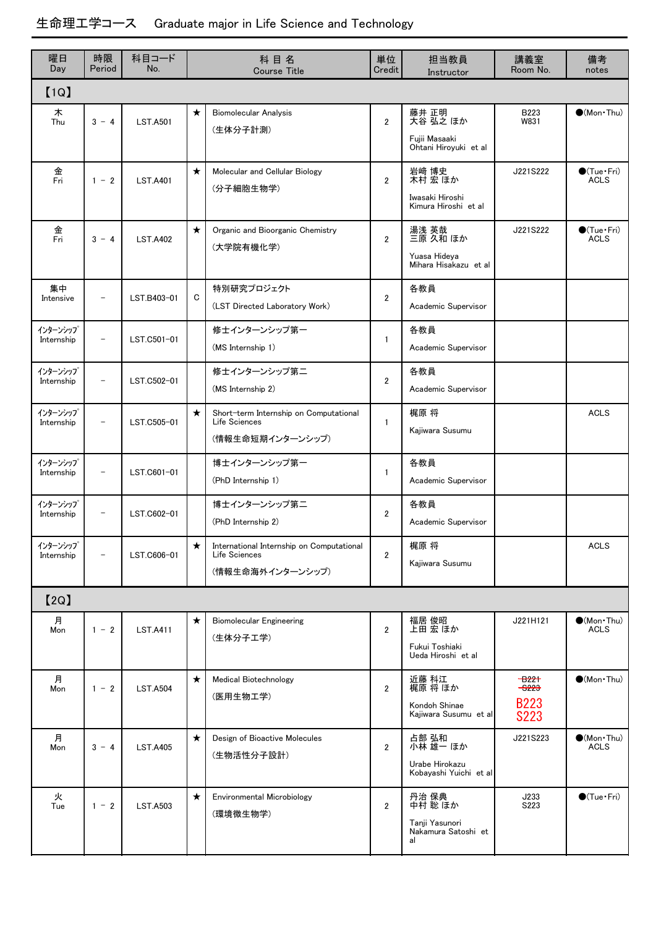| 曜日<br>Day              | 時限<br>Period             | 科目コード<br>No.    |             | 科目名<br><b>Course Title</b>                                                     | 単位<br>Credit   | 担当教員<br>Instructor                                              | 講義室<br>Room No.                                   | 備考<br>notes                           |
|------------------------|--------------------------|-----------------|-------------|--------------------------------------------------------------------------------|----------------|-----------------------------------------------------------------|---------------------------------------------------|---------------------------------------|
| [1Q]                   |                          |                 |             |                                                                                |                |                                                                 |                                                   |                                       |
| 木<br>Thu               | $3 - 4$                  | <b>LST.A501</b> | $\star$     | <b>Biomolecular Analysis</b><br>(生体分子計測)                                       | $\overline{2}$ | 藤井 正明<br>大谷 弘之 ほか<br>Fujii Masaaki<br>Ohtani Hiroyuki et al     | B223<br>W831                                      | $\bullet$ (Mon Thu)                   |
| 金<br>Fri               | $1 - 2$                  | <b>LST.A401</b> | $\star$     | Molecular and Cellular Biology<br>(分子細胞生物学)                                    | $\overline{2}$ | 岩﨑 博史<br>木村 宏 ほか<br>Iwasaki Hiroshi<br>Kimura Hiroshi et al     | J221S222                                          | $\bigcirc$ (Tue · Fri)<br><b>ACLS</b> |
| 金<br>Fri               | $3 - 4$                  | <b>LST.A402</b> | $\star$     | Organic and Bioorganic Chemistry<br>(大学院有機化学)                                  | $\overline{2}$ | 湯浅 英哉<br>三原 久和 ほか<br>Yuasa Hideya<br>Mihara Hisakazu et al      | J221S222                                          | $\bigcirc$ (Tue · Fri)<br><b>ACLS</b> |
| 集中<br>Intensive        | $\overline{\phantom{0}}$ | LST.B403-01     | $\mathbf C$ | 特別研究プロジェクト<br>(LST Directed Laboratory Work)                                   | $\overline{2}$ | 各教員<br>Academic Supervisor                                      |                                                   |                                       |
| インターンシップ<br>Internship | $\overline{\phantom{0}}$ | LST.C501-01     |             | 修士インターンシップ第一<br>(MS Internship 1)                                              | $\mathbf{1}$   | 各教員<br>Academic Supervisor                                      |                                                   |                                       |
| インターンシップ<br>Internship | $\qquad \qquad$          | LST.C502-01     |             | 修士インターンシップ第二<br>(MS Internship 2)                                              | $\overline{2}$ | 各教員<br>Academic Supervisor                                      |                                                   |                                       |
| インターンシップ<br>Internship | $\overline{\phantom{m}}$ | LST.C505-01     | $\star$     | Short-term Internship on Computational<br>Life Sciences<br>(情報生命短期インターンシップ)    | 1              | 梶原 将<br>Kajiwara Susumu                                         |                                                   | <b>ACLS</b>                           |
| インターンシップ<br>Internship | $\qquad \qquad -$        | LST.C601-01     |             | 博士インターンシップ第一<br>(PhD Internship 1)                                             | $\mathbf{1}$   | 各教員<br>Academic Supervisor                                      |                                                   |                                       |
| インターンシップ<br>Internship | $\overline{\phantom{m}}$ | LST.C602-01     |             | 博士インターンシップ第二<br>(PhD Internship 2)                                             | $\overline{2}$ | 各教員<br>Academic Supervisor                                      |                                                   |                                       |
| インターンシップ<br>Internship | $\qquad \qquad -$        | LST.C606-01     | ★           | International Internship on Computational<br>Life Sciences<br>(情報生命海外インターンシップ) | $\overline{2}$ | 梶原 将<br>Kajiwara Susumu                                         |                                                   | <b>ACLS</b>                           |
| [2Q]                   |                          |                 |             |                                                                                |                |                                                                 |                                                   |                                       |
| 月<br>Mon               | $1 - 2$                  | <b>LST.A411</b> | $\star$     | <b>Biomolecular Engineering</b><br>(生体分子工学)                                    | $\overline{2}$ | 福居 俊昭<br>上田 宏 ほか<br>Fukui Toshiaki<br>Ueda Hiroshi et al        | J221H121                                          | $\bullet$ (Mon Thu)<br><b>ACLS</b>    |
| 月<br>Mon               | $1 - 2$                  | <b>LST.A504</b> | $\star$     | <b>Medical Biotechnology</b><br>(医用生物工学)                                       | $\overline{2}$ | 近藤 科江<br>梶原 将 ほか<br>Kondoh Shinae<br>Kajiwara Susumu et al      | $-622+$<br>$-$ 3223<br><b>B223</b><br><b>S223</b> | $(Mon\cdot Thu)$                      |
| 月<br>Mon               | $3 - 4$                  | <b>LST.A405</b> | $\star$     | Design of Bioactive Molecules<br>(生物活性分子設計)                                    | $\overline{2}$ | 占部 弘和<br>小林 雄一 ほか<br>Urabe Hirokazu<br>Kobayashi Yuichi et al   | J221S223                                          | $\bullet$ (Mon Thu)<br><b>ACLS</b>    |
| 火<br>Tue               | $1 - 2$                  | <b>LST.A503</b> | $\star$     | Environmental Microbiology<br>(環境微生物学)                                         | $\overline{2}$ | 丹治 保典<br>中村 聡 ほか<br>Tanji Yasunori<br>Nakamura Satoshi et<br>al | J233<br>S223                                      | $\bigcirc$ (Tue $\cdot$ Fri)          |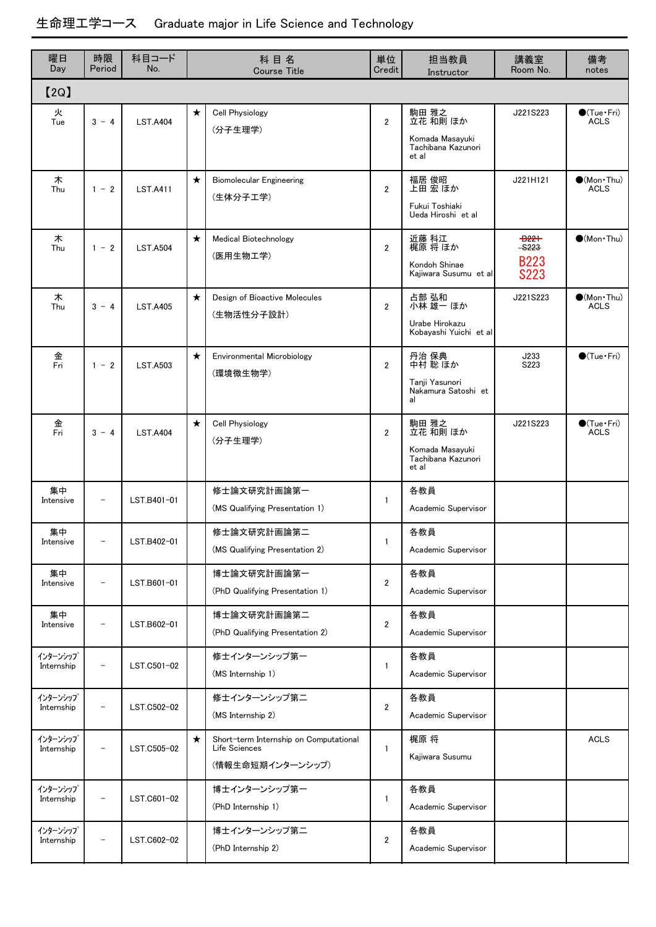| 曜日<br>Day              | 時限<br>Period             | 科目コード<br>No.    |         | 科目名<br><b>Course Title</b>                                                  | 単位<br>Credit   | 担当教員<br>Instructor                                                  | 講義室<br>Room No.                                         | 備考<br>notes                                |
|------------------------|--------------------------|-----------------|---------|-----------------------------------------------------------------------------|----------------|---------------------------------------------------------------------|---------------------------------------------------------|--------------------------------------------|
| [2Q]                   |                          |                 |         |                                                                             |                |                                                                     |                                                         |                                            |
| 火<br>Tue               | $3 - 4$                  | <b>LST.A404</b> | $\star$ | <b>Cell Physiology</b><br>(分子生理学)                                           | $\overline{2}$ | 駒田 雅之<br>立花 和則 ほか<br>Komada Masayuki<br>Tachibana Kazunori<br>et al | J221S223                                                | $\bigcirc$ (Tue · Fri)<br><b>ACLS</b>      |
| 木<br>Thu               | $1 - 2$                  | <b>LST.A411</b> | $\star$ | <b>Biomolecular Engineering</b><br>(生体分子工学)                                 | $\overline{2}$ | 福居 俊昭<br>上田 宏 ほか<br>Fukui Toshiaki<br>Ueda Hiroshi et al            | J221H121                                                | $\bullet$ (Mon $\cdot$ Thu)<br><b>ACLS</b> |
| 木<br>Thu               | $1 - 2$                  | <b>LST.A504</b> | $\star$ | <b>Medical Biotechnology</b><br>(医用生物工学)                                    | $\overline{2}$ | 近藤 科江<br>梶原 将 ほか<br>Kondoh Shinae<br>Kaiiwara Susumu et al          | <del>-B221</del><br>-6223<br><b>B223</b><br><b>S223</b> | $\bullet$ (Mon·Thu)                        |
| 木<br>Thu               | $3 - 4$                  | <b>LST.A405</b> | $\star$ | Design of Bioactive Molecules<br>(生物活性分子設計)                                 | $\overline{2}$ | 占部 弘和<br>小林 雄一 ほか<br>Urabe Hirokazu<br>Kobayashi Yuichi et al       | J221S223                                                | $(Mon\cdot Thu)$<br><b>ACLS</b>            |
| 金<br>Fri               | $1 - 2$                  | <b>LST.A503</b> | $\star$ | <b>Environmental Microbiology</b><br>(環境微生物学)                               | $\overline{2}$ | 丹治 保典<br>中村 聡 ほか<br>Tanji Yasunori<br>Nakamura Satoshi et<br>al     | J233<br>S223                                            | $\bigcirc$ (Tue·Fri)                       |
| 金<br>Fri               | $3 - 4$                  | <b>LST.A404</b> | $\star$ | <b>Cell Physiology</b><br>(分子生理学)                                           | $\overline{2}$ | 駒田 雅之<br>立花 和則 ほか<br>Komada Masayuki<br>Tachibana Kazunori<br>et al | J221S223                                                | $\bigcirc$ (Tue · Fri)<br><b>ACLS</b>      |
| 集中<br>Intensive        | $\overline{\phantom{a}}$ | LST.B401-01     |         | 修士論文研究計画論第一<br>(MS Qualifying Presentation 1)                               | $\mathbf{1}$   | 各教員<br>Academic Supervisor                                          |                                                         |                                            |
| 集中<br>Intensive        |                          | LST.B402-01     |         | 修士論文研究計画論第二<br>(MS Qualifying Presentation 2)                               | 1              | 各教員<br>Academic Supervisor                                          |                                                         |                                            |
| 集中<br>Intensive        | $\overline{\phantom{0}}$ | LST.B601-01     |         | 博士論文研究計画論第一<br>(PhD Qualifying Presentation 1)                              | $\overline{2}$ | 各教員<br>Academic Supervisor                                          |                                                         |                                            |
| 集中<br>Intensive        |                          | LST.B602-01     |         | 博士論文研究計画論第二<br>(PhD Qualifying Presentation 2)                              | $\overline{2}$ | 各教員<br>Academic Supervisor                                          |                                                         |                                            |
| インターンシップ<br>Internship |                          | LST.C501-02     |         | 修士インターンシップ第一<br>(MS Internship 1)                                           | 1              | 各教員<br>Academic Supervisor                                          |                                                         |                                            |
| インターンシップ<br>Internship | $\overline{\phantom{a}}$ | LST.C502-02     |         | 修士インターンシップ第二<br>(MS Internship 2)                                           | $\overline{2}$ | 各教員<br>Academic Supervisor                                          |                                                         |                                            |
| インターンシップ<br>Internship |                          | LST.C505-02     | $\star$ | Short-term Internship on Computational<br>Life Sciences<br>(情報生命短期インターンシップ) | 1              | 梶原 将<br>Kajiwara Susumu                                             |                                                         | <b>ACLS</b>                                |
| インターンシップ<br>Internship | $\overline{\phantom{m}}$ | LST.C601-02     |         | 博士インターンシップ第一<br>(PhD Internship 1)                                          | 1              | 各教員<br>Academic Supervisor                                          |                                                         |                                            |
| インターンシップ<br>Internship | $\overline{\phantom{a}}$ | LST.C602-02     |         | 博士インターンシップ第二<br>(PhD Internship 2)                                          | $\overline{2}$ | 各教員<br>Academic Supervisor                                          |                                                         |                                            |